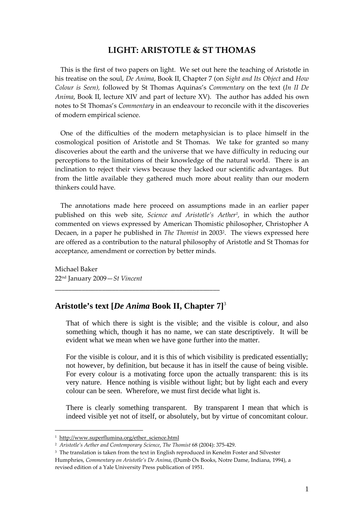## **LIGHT: ARISTOTLE & ST THOMAS**

This is the first of two papers on light. We set out here the teaching of Aristotle in his treatise on the soul, *De Anima*, Book II, Chapter 7 (on *Sight and Its Object* and *How Colour is Seen),* followed by St Thomas Aquinas's *Commentary* on the text (*In II De Anima*, Book II, lecture XIV and part of lecture XV). The author has added his own notes to St Thomas's *Commentary* in an endeavour to reconcile with it the discoveries of modern empirical science.

One of the difficulties of the modern metaphysician is to place himself in the cosmological position of Aristotle and St Thomas. We take for granted so many discoveries about the earth and the universe that we have difficulty in reducing our perceptions to the limitations of their knowledge of the natural world. There is an inclination to reject their views because they lacked our scientific advantages. But from the little available they gathered much more about reality than our modern thinkers could have.

The annotations made here proceed on assumptions made in an earlier paper published on this web site, *Science and Aristotle's Aether1,* in which the author commented on views expressed by American Thomistic philosopher, Christopher A Decaen, in a paper he published in *The Thomist* in 20032. The views expressed here are offered as a contribution to the natural philosophy of Aristotle and St Thomas for acceptance, amendment or correction by better minds.

Michael Baker 22nd January 2009—*St Vincent*

## **Aristotle's text [***De Anima* **Book II, Chapter 7]**<sup>3</sup>

\_\_\_\_\_\_\_\_\_\_\_\_\_\_\_\_\_\_\_\_\_\_\_\_\_\_\_\_\_\_\_\_\_\_\_\_\_\_\_\_\_\_\_\_\_\_\_\_\_

That of which there is sight is the visible; and the visible is colour, and also something which, though it has no name, we can state descriptively. It will be evident what we mean when we have gone further into the matter.

For the visible is colour, and it is this of which visibility is predicated essentially; not however, by definition, but because it has in itself the cause of being visible. For every colour is a motivating force upon the actually transparent: this is its very nature. Hence nothing is visible without light; but by light each and every colour can be seen. Wherefore, we must first decide what light is.

There is clearly something transparent. By transparent I mean that which is indeed visible yet not of itself, or absolutely, but by virtue of concomitant colour.

1

<sup>&</sup>lt;sup>1</sup> http://www.superflumina.org/ether\_science.html

<sup>2</sup> *Aristotle's Aether and Contemporary Science*, *The Thomist* 68 (2004): 375‐429.

<sup>&</sup>lt;sup>3</sup> The translation is taken from the text in English reproduced in Kenelm Foster and Silvester Humphries, *Commentary on Aristotle's De Anima*, (Dumb Ox Books, Notre Dame, Indiana, 1994), a revised edition of a Yale University Press publication of 1951.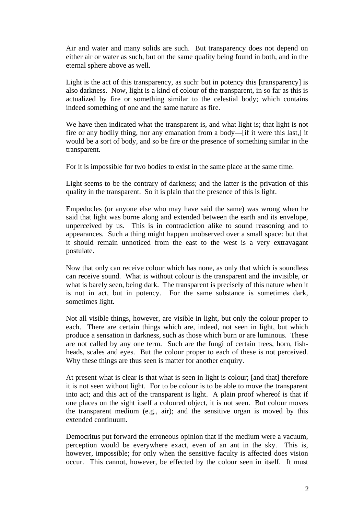Air and water and many solids are such. But transparency does not depend on either air or water as such, but on the same quality being found in both, and in the eternal sphere above as well.

Light is the act of this transparency, as such: but in potency this [transparency] is also darkness. Now, light is a kind of colour of the transparent, in so far as this is actualized by fire or something similar to the celestial body; which contains indeed something of one and the same nature as fire.

We have then indicated what the transparent is, and what light is; that light is not fire or any bodily thing, nor any emanation from a body—[if it were this last,] it would be a sort of body, and so be fire or the presence of something similar in the transparent.

For it is impossible for two bodies to exist in the same place at the same time.

Light seems to be the contrary of darkness; and the latter is the privation of this quality in the transparent. So it is plain that the presence of this is light.

Empedocles (or anyone else who may have said the same) was wrong when he said that light was borne along and extended between the earth and its envelope, unperceived by us. This is in contradiction alike to sound reasoning and to appearances. Such a thing might happen unobserved over a small space: but that it should remain unnoticed from the east to the west is a very extravagant postulate.

Now that only can receive colour which has none, as only that which is soundless can receive sound. What is without colour is the transparent and the invisible, or what is barely seen, being dark. The transparent is precisely of this nature when it is not in act, but in potency. For the same substance is sometimes dark, sometimes light.

Not all visible things, however, are visible in light, but only the colour proper to each. There are certain things which are, indeed, not seen in light, but which produce a sensation in darkness, such as those which burn or are luminous. These are not called by any one term. Such are the fungi of certain trees, horn, fishheads, scales and eyes. But the colour proper to each of these is not perceived. Why these things are thus seen is matter for another enquiry.

At present what is clear is that what is seen in light is colour; [and that] therefore it is not seen without light. For to be colour is to be able to move the transparent into act; and this act of the transparent is light. A plain proof whereof is that if one places on the sight itself a coloured object, it is not seen. But colour moves the transparent medium (e.g., air); and the sensitive organ is moved by this extended continuum.

Democritus put forward the erroneous opinion that if the medium were a vacuum, perception would be everywhere exact, even of an ant in the sky. This is, however, impossible; for only when the sensitive faculty is affected does vision occur. This cannot, however, be effected by the colour seen in itself. It must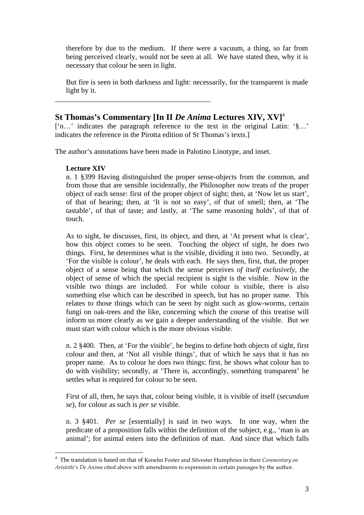therefore by due to the medium. If there were a vacuum, a thing, so far from being perceived clearly, would not be seen at all. We have stated then, why it is necessary that colour be seen in light.

But fire is seen in both darkness and light: necessarily, for the transparent is made light by it.

# **St Thomas's Commentary [In II** *De Anima* **Lectures XIV, XV]**<sup>4</sup>

\_\_\_\_\_\_\_\_\_\_\_\_\_\_\_\_\_\_\_\_\_\_\_\_\_\_\_\_\_\_\_\_\_\_\_\_\_\_\_\_\_\_\_\_\_\_\_\_\_\_\_

['n…' indicates the paragraph reference to the text in the original Latin: '§…' indicates the reference in the Pirotta edition of St Thomas's texts.]

The author's annotations have been made in Palotino Linotype, and inset.

### **Lecture XIV**

1

n. 1 §399 Having distinguished the proper sense-objects from the common, and from those that are sensible incidentally, the Philosopher now treats of the proper object of each sense: first of the proper object of sight; then, at 'Now let us start', of that of hearing; then, at 'It is not so easy', of that of smell; then, at 'The tastable', of that of taste; and lastly, at 'The same reasoning holds', of that of touch.

As to sight, he discusses, first, its object, and then, at 'At present what is clear', how this object comes to be seen. Touching the object of sight, he does two things. First, he determines what is the visible, dividing it into two. Secondly, at 'For the visible is colour', he deals with each. He says then, first, that, the proper object of a sense being that which the sense perceives *of itself exclusively*, the object of sense of which the special recipient is sight is the visible. Now in the visible two things are included. For while colour is visible, there is also something else which can be described in speech, but has no proper name. This relates to those things which can be seen by night such as glow-worms, certain fungi on oak-trees and the like, concerning which the course of this treatise will inform us more clearly as we gain a deeper understanding of the visible. But we must start with colour which is the more obvious visible.

n. 2 §400. Then, at 'For the visible', he begins to define both objects of sight, first colour and then, at 'Not all visible things', that of which he says that it has no proper name. As to colour he does two things: first, he shows what colour has to do with visibility; secondly, at 'There is, accordingly, something transparent' he settles what is required for colour to be seen.

First of all, then, he says that, colour being visible, it is visible of itself (*secundum se*), for colour as such is *per se* visible.

n. 3 §401. *Per se* [essentially] is said in two ways. In one way, when the predicate of a proposition falls within the definition of the subject, e.g., 'man is an animal'; for animal enters into the definition of man. And since that which falls

<sup>4</sup> The translation is based on that of Kenelm Foster and Silvester Humphries in their *Commentary on Aristotle's De Anima* cited above with amendments to expression in certain passages by the author.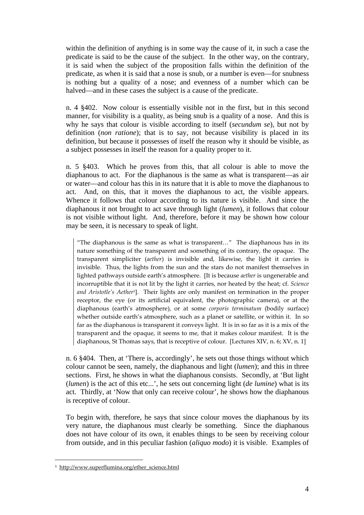within the definition of anything is in some way the cause of it, in such a case the predicate is said to be the cause of the subject. In the other way, on the contrary, it is said when the subject of the proposition falls within the definition of the predicate, as when it is said that a nose is snub, or a number is even—for snubness is nothing but a quality of a nose; and evenness of a number which can be halved—and in these cases the subject is a cause of the predicate.

n. 4 §402. Now colour is essentially visible not in the first, but in this second manner, for visibility is a quality, as being snub is a quality of a nose. And this is why he says that colour is visible according to itself (*secundum se*), but not by definition (*non ratione*); that is to say, not because visibility is placed in its definition, but because it possesses of itself the reason why it should be visible, as a subject possesses in itself the reason for a quality proper to it.

n. 5 §403. Which he proves from this, that all colour is able to move the diaphanous to act. For the diaphanous is the same as what is transparent—as air or water—and colour has this in its nature that it is able to move the diaphanous to act. And, on this, that it moves the diaphanous to act, the visible appears. Whence it follows that colour according to its nature is visible. And since the diaphanous it not brought to act save through light (*lumen*), it follows that colour is not visible without light. And, therefore, before it may be shown how colour may be seen, it is necessary to speak of light.

"The diaphanous is the same as what is transparent…" The diaphanous has in its nature something of the transparent and something of its contrary, the opaque. The transparent simpliciter (*aether*) is invisible and, likewise, the light it carries is invisible. Thus, the lights from the sun and the stars do not manifest themselves in lighted pathways outside earth's atmosphere. [It is because *aether* is ungenerable and incorruptible that it is not lit by the light it carries, nor heated by the heat; cf. *Science and Aristotle's Aether5*]. Their lights are only manifest on termination in the proper receptor, the eye (or its artificial equivalent, the photographic camera), or at the diaphanous (earth's atmosphere), or at some *corporis terminatum* (bodily surface) whether outside earth's atmosphere, such as a planet or satellite, or within it. In so far as the diaphanous is transparent it conveys light. It is in so far as it is a mix of the transparent and the opaque, it seems to me, that it makes colour manifest. It is the diaphanous, St Thomas says, that is receptive of colour. [Lectures XIV, n. 6; XV, n. 1]

n. 6 §404. Then, at 'There is, accordingly', he sets out those things without which colour cannot be seen, namely, the diaphanous and light (*lumen*); and this in three sections. First, he shows in what the diaphanous consists. Secondly, at 'But light (*lumen*) is the act of this etc...', he sets out concerning light (*de lumine*) what is its act. Thirdly, at 'Now that only can receive colour', he shows how the diaphanous is receptive of colour.

To begin with, therefore, he says that since colour moves the diaphanous by its very nature, the diaphanous must clearly be something. Since the diaphanous does not have colour of its own, it enables things to be seen by receiving colour from outside, and in this peculiar fashion (*aliquo modo*) it is visible. Examples of

<u>.</u>

<sup>&</sup>lt;sup>5</sup> http://www.superflumina.org/ether\_science.html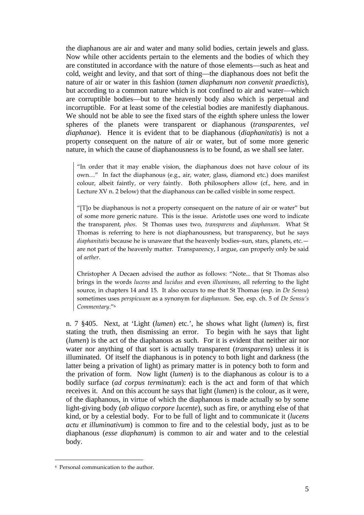the diaphanous are air and water and many solid bodies, certain jewels and glass. Now while other accidents pertain to the elements and the bodies of which they are constituted in accordance with the nature of those elements—such as heat and cold, weight and levity, and that sort of thing—the diaphanous does not befit the nature of air or water in this fashion (*tamen diaphanum non convenit praedictis*), but according to a common nature which is not confined to air and water—which are corruptible bodies—but to the heavenly body also which is perpetual and incorruptible. For at least some of the celestial bodies are manifestly diaphanous. We should not be able to see the fixed stars of the eighth sphere unless the lower spheres of the planets were transparent or diaphanous (*transparentes, vel diaphanae*). Hence it is evident that to be diaphanous (*diaphanitatis*) is not a property consequent on the nature of air or water, but of some more generic nature, in which the cause of diaphanousness is to be found, as we shall see later.

"In order that it may enable vision, the diaphanous does not have colour of its own…" In fact the diaphanous (e.g., air, water, glass, diamond etc.) does manifest colour, albeit faintly, or very faintly. Both philosophers allow (cf., here, and in Lecture XV n. 2 below) that the diaphanous can be called visible in some respect.

"[T]o be diaphanous is not a property consequent on the nature of air or water" but of some more generic nature. This is the issue. Aristotle uses one word to indicate the transparent, *phos*. St Thomas uses two, *transparens* and *diaphanum*. What St Thomas is referring to here is not diaphanousness, but transparency, but he says *diaphanitatis* because he is unaware that the heavenly bodies–sun, stars, planets, etc. are not part of the heavenly matter. Transparency, I argue, can properly only be said of *aether*.

Christopher A Decaen advised the author as follows: "Note... that St Thomas also brings in the words *lucens* and *lucidus* and even *illuminans*, all referring to the light source, in chapters 14 and 15. It also occurs to me that St Thomas (esp. in *De Sensu*) sometimes uses *perspicuum* as a synonym for *diaphanum*. See, esp. ch. 5 of *De Sensu's Commentary*."6

n. 7 §405. Next, at 'Light (*lumen*) etc.', he shows what light (*lumen*) is, first stating the truth, then dismissing an error. To begin with he says that light (*lumen*) is the act of the diaphanous as such. For it is evident that neither air nor water nor anything of that sort is actually transparent (*transparens*) unless it is illuminated. Of itself the diaphanous is in potency to both light and darkness (the latter being a privation of light) as primary matter is in potency both to form and the privation of form. Now light (*lumen*) is to the diaphanous as colour is to a bodily surface (*ad corpus terminatum*): each is the act and form of that which receives it. And on this account he says that light (*lumen*) is the colour, as it were, of the diaphanous, in virtue of which the diaphanous is made actually so by some light-giving body (*ab aliquo corpore lucente*), such as fire, or anything else of that kind, or by a celestial body. For to be full of light and to communicate it (*lucens actu et illuminativum*) is common to fire and to the celestial body, just as to be diaphanous (*esse diaphanum*) is common to air and water and to the celestial body.

<u>.</u>

<sup>6</sup> Personal communication to the author.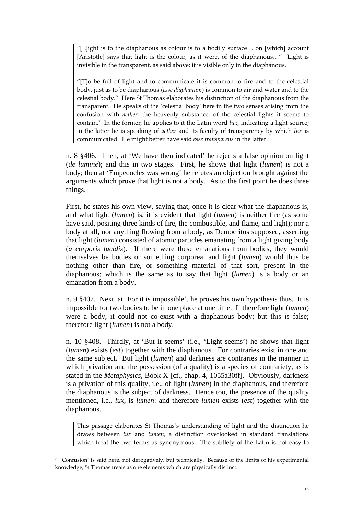"[L]ight is to the diaphanous as colour is to a bodily surface… on [which] account [Aristotle] says that light is the colour, as it were, of the diaphanous..." Light is invisible in the transparent, as said above: it is visible only in the diaphanous.

"[T]o be full of light and to communicate it is common to fire and to the celestial body, just as to be diaphanous (*esse diaphanum*) is common to air and water and to the celestial body." Here St Thomas elaborates his distinction of the diaphanous from the transparent. He speaks of the 'celestial body' here in the two senses arising from the confusion with *aether*, the heavenly substance, of the celestial lights it seems to contain.7 In the former, he applies to it the Latin word *lux*, indicating a light source; in the latter he is speaking of *aether* and its faculty of transparency by which *lux* is communicated. He might better have said *esse transparens* in the latter.

n. 8 §406. Then, at 'We have then indicated' he rejects a false opinion on light (*de lumine*); and this in two stages. First, he shows that light (*lumen*) is not a body; then at 'Empedocles was wrong' he refutes an objection brought against the arguments which prove that light is not a body. As to the first point he does three things.

First, he states his own view, saying that, once it is clear what the diaphanous is, and what light (*lumen*) is, it is evident that light (*lumen*) is neither fire (as some have said, positing three kinds of fire, the combustible, and flame, and light); nor a body at all, nor anything flowing from a body, as Democritus supposed, asserting that light (*lumen*) consisted of atomic particles emanating from a light giving body (*a corporis lucidis*). If there were these emanations from bodies, they would themselves be bodies or something corporeal and light (*lumen*) would thus be nothing other than fire, or something material of that sort, present in the diaphanous; which is the same as to say that light (*lumen*) is a body or an emanation from a body.

n. 9 §407. Next, at 'For it is impossible', he proves his own hypothesis thus. It is impossible for two bodies to be in one place at one time. If therefore light (*lumen*) were a body, it could not co-exist with a diaphanous body; but this is false; therefore light (*lumen*) is not a body.

n. 10 §408. Thirdly, at 'But it seems' (i.e., 'Light seems') he shows that light (*lumen*) exists (*est*) together with the diaphanous. For contraries exist in one and the same subject. But light (*lumen*) and darkness are contraries in the manner in which privation and the possession (of a quality) is a species of contrariety, as is stated in the *Metaphysics*, Book X [cf., chap. 4, 1055a30ff]. Obviously, darkness is a privation of this quality, i.e., of light (*lumen*) in the diaphanous, and therefore the diaphanous is the subject of darkness. Hence too, the presence of the quality mentioned, i.e., *lux*, is *lumen*: and therefore *lumen* exists (*est*) together with the diaphanous.

This passage elaborates St Thomas's understanding of light and the distinction he draws between *lux* and *lumen*, a distinction overlooked in standard translations which treat the two terms as synonymous. The subtlety of the Latin is not easy to

1

<sup>7</sup> 'Confusion' is said here, not derogatively, but technically. Because of the limits of his experimental knowledge, St Thomas treats as one elements which are physically distinct.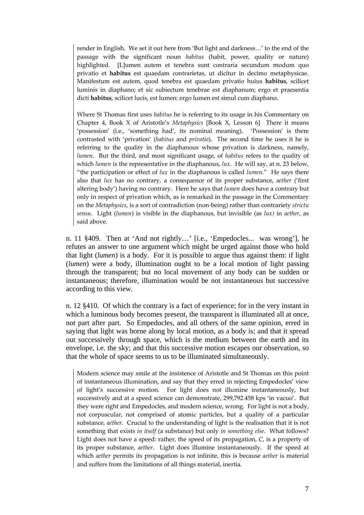render in English. We set it out here from 'But light and darkness…' to the end of the passage with the significant noun *habitus* (habit, power, quality or nature) highlighted. [L]umen autem et tenebra sunt contraria secundum modum quo privatio et **habitus** est quaedam contrarietas, ut dicitur in decimo metaphysicae. Manifestum est autem, quod tenebra est quaedam privatio huius **habitus**, scilicet luminis in diaphano; et sic subiectum tenebrae est diaphanum; ergo et praesentia dicti **habitus**, scilicet lucis, est lumen: ergo lumen est simul cum diaphano.

Where St Thomas first uses *habitus* he is referring to its usage in his Commentary on Chapter 4, Book X of Aristotle's *Metaphysics* [Book X, Lesson 6] There it means 'possession' (i.e., 'something had', its nominal meaning). 'Possession' is there contrasted with 'privation' (*habitus* and *privatio*). The second time he uses it he is referring to the quality in the diaphanous whose privation is darkness, namely, *lumen*. But the third, and most significant usage, of *habitus* refers to the quality of which *lumen* is the representative in the diaphanous, *lux*. He will say, at n. 23 below, "the participation or effect of *lux* in the diaphanous is called *lumen*." He says there also that *lux* has no contrary, a consequence of its proper substance, *aether* ('first altering body') having no contrary. Here he says that *lumen* does have a contrary but only in respect of privation which, as is remarked in the passage in the Commentary on the *Metaphysics*, is a sort of contradiction (non‐being) rather than contrariety *strictu sensu*. Light (*lumen*) is visible in the diaphanous, but invisible (as *lux)* in *aether*, as said above.

n. 11 §409. Then at 'And not rightly…' [i.e., 'Empedocles... was wrong'], he refutes an answer to one argument which might be urged against those who hold that light (*lumen*) is a body. For it is possible to argue thus against them: if light (*lumen*) were a body, illumination ought to be a local motion of light passing through the transparent; but no local movement of any body can be sudden or instantaneous; therefore, illumination would be not instantaneous but successive according to this view.

n. 12 §410. Of which the contrary is a fact of experience; for in the very instant in which a luminous body becomes present, the transparent is illuminated all at once, not part after part. So Empedocles, and all others of the same opinion, erred in saying that light was borne along by local motion, as a body is; and that it spread out successively through space, which is the medium between the earth and its envelope, i.e. the sky; and that this successive motion escapes our observation, so that the whole of space seems to us to be illuminated simultaneously.

Modern science may smile at the insistence of Aristotle and St Thomas on this point of instantaneous illumination, and say that they erred in rejecting Empedocles' view of light's successive motion. For light does not illumine instantaneously, but successively and at a speed science can demonstrate, 299,792.458 kps 'in vacuo'. But they were right and Empedocles, and modern science, wrong. For light is not a body, not corpuscular, not comprised of atomic particles, but a quality of a particular substance, *aether*. Crucial to the understanding of light is the realisation that it is not something that exists *in itself* (a substance) but only *in something else*. What follows? Light does not have a speed: rather, the speed of its propagation, *C*, is a property of its proper substance, *aether*. Light does illumine instantaneously. If the speed at which *aether* permits its propagation is not infinite, this is because *aether* is material and suffers from the limitations of all things material, inertia.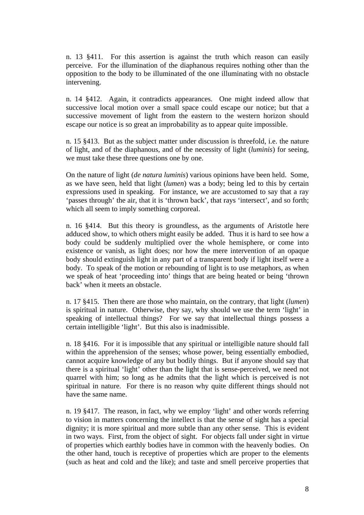n. 13 §411. For this assertion is against the truth which reason can easily perceive. For the illumination of the diaphanous requires nothing other than the opposition to the body to be illuminated of the one illuminating with no obstacle intervening.

n. 14 §412. Again, it contradicts appearances. One might indeed allow that successive local motion over a small space could escape our notice; but that a successive movement of light from the eastern to the western horizon should escape our notice is so great an improbability as to appear quite impossible.

n. 15 §413. But as the subject matter under discussion is threefold, i.e. the nature of light, and of the diaphanous, and of the necessity of light (*luminis*) for seeing, we must take these three questions one by one.

On the nature of light (*de natura luminis*) various opinions have been held. Some, as we have seen, held that light (*lumen*) was a body; being led to this by certain expressions used in speaking. For instance, we are accustomed to say that a ray 'passes through' the air, that it is 'thrown back', that rays 'intersect', and so forth; which all seem to imply something corporeal.

n. 16 §414. But this theory is groundless, as the arguments of Aristotle here adduced show, to which others might easily be added. Thus it is hard to see how a body could be suddenly multiplied over the whole hemisphere, or come into existence or vanish, as light does; nor how the mere intervention of an opaque body should extinguish light in any part of a transparent body if light itself were a body. To speak of the motion or rebounding of light is to use metaphors, as when we speak of heat 'proceeding into' things that are being heated or being 'thrown back' when it meets an obstacle.

n. 17 §415. Then there are those who maintain, on the contrary, that light (*lumen*) is spiritual in nature. Otherwise, they say, why should we use the term 'light' in speaking of intellectual things? For we say that intellectual things possess a certain intelligible 'light'. But this also is inadmissible.

n. 18 §416. For it is impossible that any spiritual or intelligible nature should fall within the apprehension of the senses; whose power, being essentially embodied, cannot acquire knowledge of any but bodily things. But if anyone should say that there is a spiritual 'light' other than the light that is sense-perceived, we need not quarrel with him; so long as he admits that the light which is perceived is not spiritual in nature. For there is no reason why quite different things should not have the same name.

n. 19 §417. The reason, in fact, why we employ 'light' and other words referring to vision in matters concerning the intellect is that the sense of sight has a special dignity; it is more spiritual and more subtle than any other sense. This is evident in two ways. First, from the object of sight. For objects fall under sight in virtue of properties which earthly bodies have in common with the heavenly bodies. On the other hand, touch is receptive of properties which are proper to the elements (such as heat and cold and the like); and taste and smell perceive properties that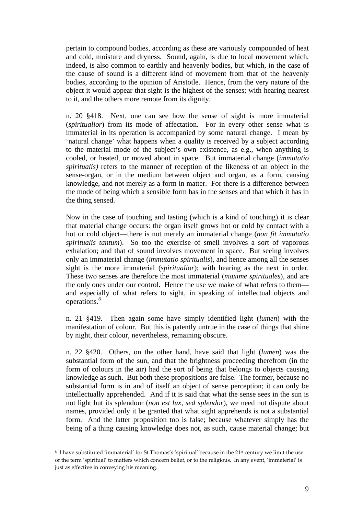pertain to compound bodies, according as these are variously compounded of heat and cold, moisture and dryness. Sound, again, is due to local movement which, indeed, is also common to earthly and heavenly bodies, but which, in the case of the cause of sound is a different kind of movement from that of the heavenly bodies, according to the opinion of Aristotle. Hence, from the very nature of the object it would appear that sight is the highest of the senses; with hearing nearest to it, and the others more remote from its dignity.

n. 20 §418. Next, one can see how the sense of sight is more immaterial (*spiritualior*) from its mode of affectation. For in every other sense what is immaterial in its operation is accompanied by some natural change. I mean by 'natural change' what happens when a quality is received by a subject according to the material mode of the subject's own existence, as e.g., when anything is cooled, or heated, or moved about in space. But immaterial change (*immutatio spiritualis)* refers to the manner of reception of the likeness of an object in the sense-organ, or in the medium between object and organ, as a form, causing knowledge, and not merely as a form in matter. For there is a difference between the mode of being which a sensible form has in the senses and that which it has in the thing sensed.

Now in the case of touching and tasting (which is a kind of touching) it is clear that material change occurs: the organ itself grows hot or cold by contact with a hot or cold object—there is not merely an immaterial change (*non fit immutatio spiritualis tantum*). So too the exercise of smell involves a sort of vaporous exhalation; and that of sound involves movement in space. But seeing involves only an immaterial change (*immutatio spiritualis*), and hence among all the senses sight is the more immaterial (*spiritualior*); with hearing as the next in order. These two senses are therefore the most immaterial (*maxime spirituales*), and are the only ones under our control. Hence the use we make of what refers to them and especially of what refers to sight, in speaking of intellectual objects and operations.8

n. 21 §419. Then again some have simply identified light (*lumen*) with the manifestation of colour. But this is patently untrue in the case of things that shine by night, their colour, nevertheless, remaining obscure.

n. 22 §420. Others, on the other hand, have said that light (*lumen*) was the substantial form of the sun, and that the brightness proceeding therefrom (in the form of colours in the air) had the sort of being that belongs to objects causing knowledge as such. But both these propositions are false. The former, because no substantial form is in and of itself an object of sense perception; it can only be intellectually apprehended. And if it is said that what the sense sees in the sun is not light but its splendour (*non est lux, sed splendor*), we need not dispute about names, provided only it be granted that what sight apprehends is not a substantial form. And the latter proposition too is false; because whatever simply has the being of a thing causing knowledge does not, as such, cause material change; but

1

<sup>&</sup>lt;sup>8</sup> I have substituted 'immaterial' for St Thomas's 'spiritual' because in the 21<sup>st</sup> century we limit the use of the term 'spiritual' to matters which concern belief, or to the religious. In any event, 'immaterial' is just as effective in conveving his meaning.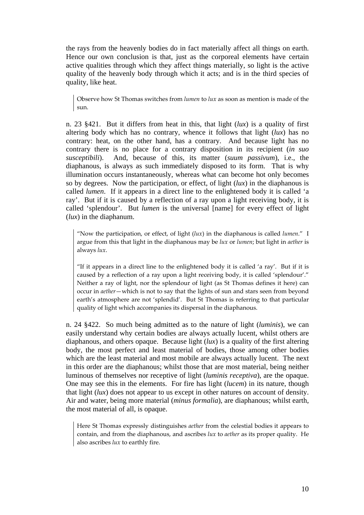the rays from the heavenly bodies do in fact materially affect all things on earth. Hence our own conclusion is that, just as the corporeal elements have certain active qualities through which they affect things materially, so light is the active quality of the heavenly body through which it acts; and is in the third species of quality, like heat.

Observe how St Thomas switches from *lumen* to *lux* as soon as mention is made of the sun.

n. 23 §421. But it differs from heat in this, that light (*lux*) is a quality of first altering body which has no contrary, whence it follows that light (*lux*) has no contrary: heat, on the other hand, has a contrary. And because light has no contrary there is no place for a contrary disposition in its recipient (*in suo susceptibili*). And, because of this, its matter (*suum passivum*), i.e., the diaphanous, is always as such immediately disposed to its form. That is why illumination occurs instantaneously, whereas what can become hot only becomes so by degrees. Now the participation, or effect, of light (*lux*) in the diaphanous is called *lumen*. If it appears in a direct line to the enlightened body it is called 'a ray'. But if it is caused by a reflection of a ray upon a light receiving body, it is called 'splendour'. But *lumen* is the universal [name] for every effect of light (*lux*) in the diaphanum.

"Now the participation, or effect, of light (*lux*) in the diaphanous is called *lumen*." I argue from this that light in the diaphanous may be *lux* or *lumen*; but light in *aether* is always *lux*.

"If it appears in a direct line to the enlightened body it is called 'a ray'. But if it is caused by a reflection of a ray upon a light receiving body, it is called 'splendour'." Neither a ray of light, nor the splendour of light (as St Thomas defines it here) can occur in *aether*—which is not to say that the lights of sun and stars seen from beyond earth's atmosphere are not 'splendid'. But St Thomas is referring to that particular quality of light which accompanies its dispersal in the diaphanous.

n. 24 §422. So much being admitted as to the nature of light (*luminis*), we can easily understand why certain bodies are always actually lucent, whilst others are diaphanous, and others opaque. Because light (*lux*) is a quality of the first altering body, the most perfect and least material of bodies, those among other bodies which are the least material and most mobile are always actually lucent. The next in this order are the diaphanous; whilst those that are most material, being neither luminous of themselves nor receptive of light (*luminis receptiva*), are the opaque. One may see this in the elements. For fire has light (*lucem*) in its nature, though that light (*lux*) does not appear to us except in other natures on account of density. Air and water, being more material (*minus formalia*), are diaphanous; whilst earth, the most material of all, is opaque.

Here St Thomas expressly distinguishes *aether* from the celestial bodies it appears to contain, and from the diaphanous, and ascribes *lux* to *aether* as its proper quality. He also ascribes *lux* to earthly fire.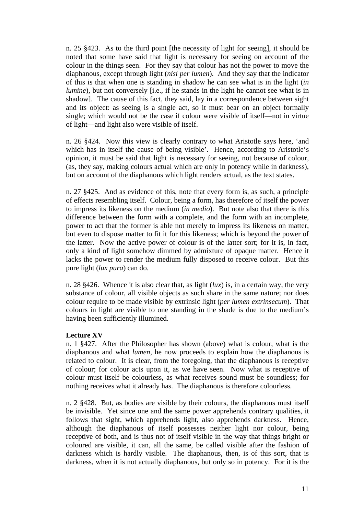n. 25 §423. As to the third point [the necessity of light for seeing], it should be noted that some have said that light is necessary for seeing on account of the colour in the things seen. For they say that colour has not the power to move the diaphanous, except through light (*nisi per lumen*). And they say that the indicator of this is that when one is standing in shadow he can see what is in the light (*in lumine*), but not conversely *[i.e., if he stands in the light he cannot see what is in* shadow]. The cause of this fact, they said, lay in a correspondence between sight and its object: as seeing is a single act, so it must bear on an object formally single; which would not be the case if colour were visible of itself—not in virtue of light—and light also were visible of itself.

n. 26 §424. Now this view is clearly contrary to what Aristotle says here, 'and which has in itself the cause of being visible'. Hence, according to Aristotle's opinion, it must be said that light is necessary for seeing, not because of colour, (as, they say, making colours actual which are only in potency while in darkness), but on account of the diaphanous which light renders actual, as the text states.

n. 27 §425. And as evidence of this, note that every form is, as such, a principle of effects resembling itself. Colour, being a form, has therefore of itself the power to impress its likeness on the medium (*in medio*). But note also that there is this difference between the form with a complete, and the form with an incomplete, power to act that the former is able not merely to impress its likeness on matter, but even to dispose matter to fit it for this likeness; which is beyond the power of the latter. Now the active power of colour is of the latter sort; for it is, in fact, only a kind of light somehow dimmed by admixture of opaque matter. Hence it lacks the power to render the medium fully disposed to receive colour. But this pure light (*lux pura*) can do.

n. 28  $$426$ . Whence it is also clear that, as light ( $lux$ ) is, in a certain way, the very substance of colour, all visible objects as such share in the same nature; nor does colour require to be made visible by extrinsic light (*per lumen extrinsecum*). That colours in light are visible to one standing in the shade is due to the medium's having been sufficiently illumined.

#### **Lecture XV**

n. 1 §427. After the Philosopher has shown (above) what is colour, what is the diaphanous and what *lumen,* he now proceeds to explain how the diaphanous is related to colour. It is clear, from the foregoing, that the diaphanous is receptive of colour; for colour acts upon it, as we have seen. Now what is receptive of colour must itself be colourless, as what receives sound must be soundless; for nothing receives what it already has. The diaphanous is therefore colourless.

n. 2 §428. But, as bodies are visible by their colours, the diaphanous must itself be invisible. Yet since one and the same power apprehends contrary qualities, it follows that sight, which apprehends light, also apprehends darkness. Hence, although the diaphanous of itself possesses neither light nor colour, being receptive of both, and is thus not of itself visible in the way that things bright or coloured are visible, it can, all the same, be called visible after the fashion of darkness which is hardly visible. The diaphanous, then, is of this sort, that is darkness, when it is not actually diaphanous, but only so in potency. For it is the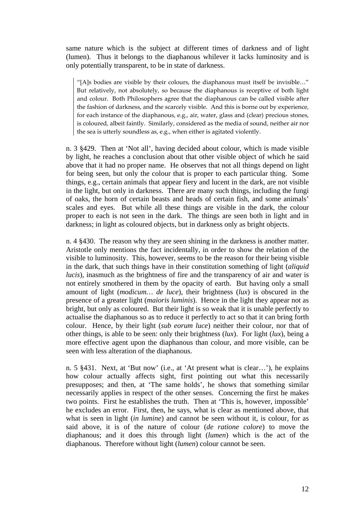same nature which is the subject at different times of darkness and of light (lumen). Thus it belongs to the diaphanous whilever it lacks luminosity and is only potentially transparent, to be in state of darkness.

"[A]s bodies are visible by their colours, the diaphanous must itself be invisible…" But relatively, not absolutely, so because the diaphanous is receptive of both light and colour. Both Philosophers agree that the diaphanous can be called visible after the fashion of darkness, and the scarcely visible. And this is borne out by experience, for each instance of the diaphanous, e.g., air, water, glass and (clear) precious stones, is coloured, albeit faintly. Similarly, considered as the media of sound, neither air nor the sea is utterly soundless as, e.g., when either is agitated violently.

n. 3 §429. Then at 'Not all', having decided about colour, which is made visible by light, he reaches a conclusion about that other visible object of which he said above that it had no proper name. He observes that not all things depend on light for being seen, but only the colour that is proper to each particular thing. Some things, e.g., certain animals that appear fiery and lucent in the dark, are not visible in the light, but only in darkness. There are many such things, including the fungi of oaks, the horn of certain beasts and heads of certain fish, and some animals' scales and eyes. But while all these things are visible in the dark, the colour proper to each is not seen in the dark. The things are seen both in light and in darkness; in light as coloured objects, but in darkness only as bright objects.

n. 4 §430. The reason why they are seen shining in the darkness is another matter. Aristotle only mentions the fact incidentally, in order to show the relation of the visible to luminosity. This, however, seems to be the reason for their being visible in the dark, that such things have in their constitution something of light (*aliquid lucis*), inasmuch as the brightness of fire and the transparency of air and water is not entirely smothered in them by the opacity of earth. But having only a small amount of light (*modicum… de luce*), their brightness (*lux*) is obscured in the presence of a greater light (*maioris luminis*). Hence in the light they appear not as bright, but only as coloured. But their light is so weak that it is unable perfectly to actualise the diaphanous so as to reduce it perfectly to act so that it can bring forth colour. Hence, by their light (*sub eorum luce*) neither their colour, nor that of other things, is able to be seen: only their brightness (*lux*). For light (*lux*), being a more effective agent upon the diaphanous than colour, and more visible, can be seen with less alteration of the diaphanous.

n. 5 §431. Next, at 'But now' (i.e., at 'At present what is clear…'), he explains how colour actually affects sight, first pointing out what this necessarily presupposes; and then, at 'The same holds', he shows that something similar necessarily applies in respect of the other senses. Concerning the first he makes two points. First he establishes the truth. Then at 'This is, however, impossible' he excludes an error. First, then, he says, what is clear as mentioned above, that what is seen in light (*in lumine*) and cannot be seen without it, is colour, for as said above, it is of the nature of colour (*de ratione colore*) to move the diaphanous; and it does this through light (*lumen*) which is the act of the diaphanous. Therefore without light (*lumen*) colour cannot be seen.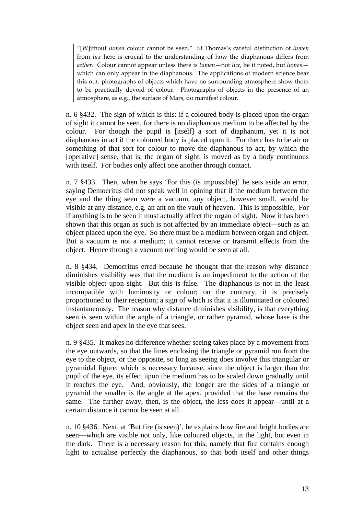"[W]ithout *lumen* colour cannot be seen." St Thomas's careful distinction of *lumen* from *lux* here is crucial to the understanding of how the diaphanous differs from *aether*. Colour cannot appear unless there is *lumen*—not *lux*, be it noted, but *lumen* which can only appear in the diaphanous. The applications of modern science bear this out: photographs of objects which have no surrounding atmosphere show them to be practically devoid of colour. Photographs of objects in the presence of an atmosphere, as e.g., the surface of Mars, do manifest colour.

n. 6 §432. The sign of which is this: if a coloured body is placed upon the organ of sight it cannot be seen, for there is no diaphanous medium to be affected by the colour. For though the pupil is [itself] a sort of diaphanum, yet it is not diaphanous in act if the coloured body is placed upon it. For there has to be air or something of that sort for colour to move the diaphanous to act, by which the [operative] sense, that is, the organ of sight, is moved as by a body continuous with itself. For bodies only affect one another through contact.

n. 7 §433. Then, when he says 'For this (is impossible)' he sets aside an error, saying Democritus did not speak well in opining that if the medium between the eye and the thing seen were a vacuum, any object, however small, would be visible at any distance, e.g. an ant on the vault of heaven. This is impossible. For if anything is to be seen it must actually affect the organ of sight. Now it has been shown that this organ as such is not affected by an immediate object—such as an object placed upon the eye. So there must be a medium between organ and object. But a vacuum is not a medium; it cannot receive or transmit effects from the object. Hence through a vacuum nothing would be seen at all.

n. 8 §434. Democritus erred because he thought that the reason why distance diminishes visibility was that the medium is an impediment to the action of the visible object upon sight. But this is false. The diaphanous is not in the least incompatible with luminosity or colour; on the contrary, it is precisely proportioned to their reception; a sign of which is that it is illuminated or coloured instantaneously. The reason why distance diminishes visibility, is that everything seen is seen within the angle of a triangle, or rather pyramid, whose base is the object seen and apex in the eye that sees.

n. 9 §435. It makes no difference whether seeing takes place by a movement from the eye outwards, so that the lines enclosing the triangle or pyramid run from the eye to the object, or the opposite, so long as seeing does involve this triangular or pyramidal figure; which is necessary because, since the object is larger than the pupil of the eye, its effect upon the medium has to be scaled down gradually until it reaches the eye. And, obviously, the longer are the sides of a triangle or pyramid the smaller is the angle at the apex, provided that the base remains the same. The further away, then, is the object, the less does it appear—until at a certain distance it cannot be seen at all.

n. 10 §436. Next, at 'But fire (is seen)', he explains how fire and bright bodies are seen—which are visible not only, like coloured objects, in the light, but even in the dark. There is a necessary reason for this, namely that fire contains enough light to actualise perfectly the diaphanous, so that both itself and other things